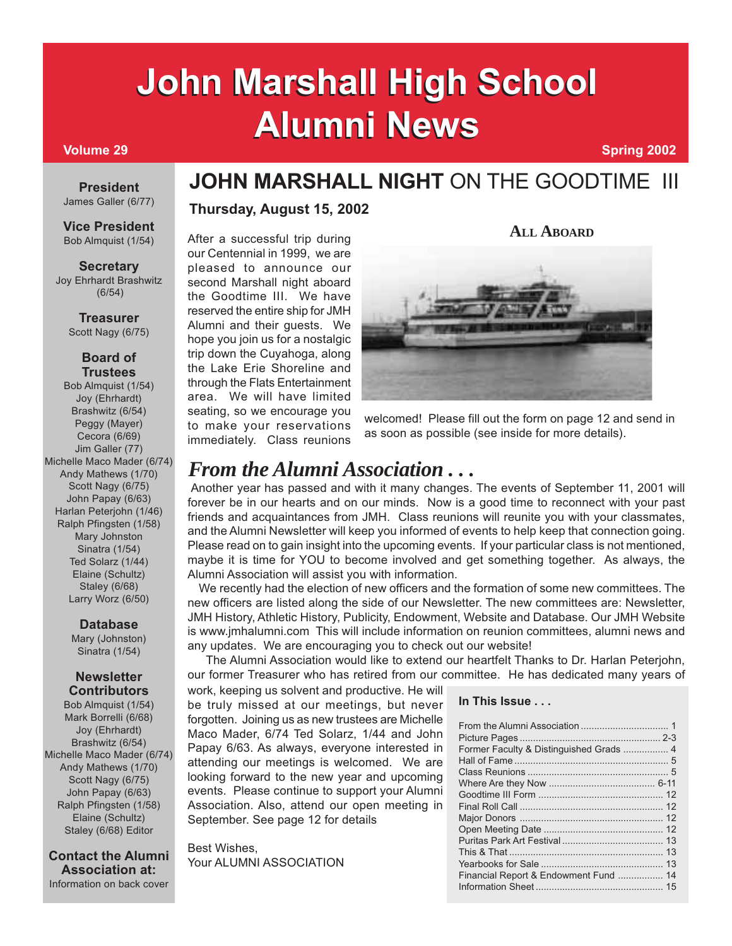# **Volume 29 Spring 2002 John Marshall High School John Marshall High School Alumni News Alumni News**

#### **President** James Galler (6/77)

**Vice President** Bob Almquist (1/54)

#### **Secretary** Joy Ehrhardt Brashwitz (6/54)

**Treasurer**

Scott Nagy (6/75)

#### **Board of Trustees**

Bob Almquist (1/54) Joy (Ehrhardt) Brashwitz (6/54) Peggy (Mayer) Cecora (6/69) Jim Galler (77) Michelle Maco Mader (6/74) Andy Mathews (1/70) Scott Nagy (6/75) John Papay (6/63) Harlan Peterjohn (1/46) Ralph Pfingsten (1/58) Mary Johnston Sinatra (1/54) Ted Solarz (1/44) Elaine (Schultz) Staley (6/68) Larry Worz (6/50)

### **Database**

Mary (Johnston) Sinatra (1/54)

#### **Newsletter Contributors**

Bob Almquist (1/54) Mark Borrelli (6/68) Joy (Ehrhardt) Brashwitz (6/54) Michelle Maco Mader (6/74) Andy Mathews (1/70) Scott Nagy (6/75) John Papay (6/63) Ralph Pfingsten (1/58) Elaine (Schultz) Staley (6/68) Editor

**Contact the Alumni Association at:** Information on back cover

# **JOHN MARSHALL NIGHT** ON THE GOODTIME III

## **Thursday, August 15, 2002**

After a successful trip during our Centennial in 1999, we are pleased to announce our second Marshall night aboard the Goodtime III. We have reserved the entire ship for JMH Alumni and their guests. We hope you join us for a nostalgic trip down the Cuyahoga, along the Lake Erie Shoreline and through the Flats Entertainment area. We will have limited seating, so we encourage you to make your reservations immediately. Class reunions



**ALL ABOARD**

welcomed! Please fill out the form on page 12 and send in as soon as possible (see inside for more details).

# *From the Alumni Association . . .*

 Another year has passed and with it many changes. The events of September 11, 2001 will forever be in our hearts and on our minds. Now is a good time to reconnect with your past friends and acquaintances from JMH. Class reunions will reunite you with your classmates, and the Alumni Newsletter will keep you informed of events to help keep that connection going. Please read on to gain insight into the upcoming events. If your particular class is not mentioned, maybe it is time for YOU to become involved and get something together. As always, the Alumni Association will assist you with information.

 We recently had the election of new officers and the formation of some new committees. The new officers are listed along the side of our Newsletter. The new committees are: Newsletter, JMH History, Athletic History, Publicity, Endowment, Website and Database. Our JMH Website is www.jmhalumni.com This will include information on reunion committees, alumni news and any updates. We are encouraging you to check out our website!

 The Alumni Association would like to extend our heartfelt Thanks to Dr. Harlan Peterjohn, our former Treasurer who has retired from our committee. He has dedicated many years of

work, keeping us solvent and productive. He will be truly missed at our meetings, but never forgotten. Joining us as new trustees are Michelle Maco Mader, 6/74 Ted Solarz, 1/44 and John Papay 6/63. As always, everyone interested in attending our meetings is welcomed. We are looking forward to the new year and upcoming events. Please continue to support your Alumni Association. Also, attend our open meeting in September. See page 12 for details

Best Wishes, Your ALUMNI ASSOCIATION

#### **In This Issue . . .**

| Financial Report & Endowment Fund  14 |  |
|---------------------------------------|--|
|                                       |  |
|                                       |  |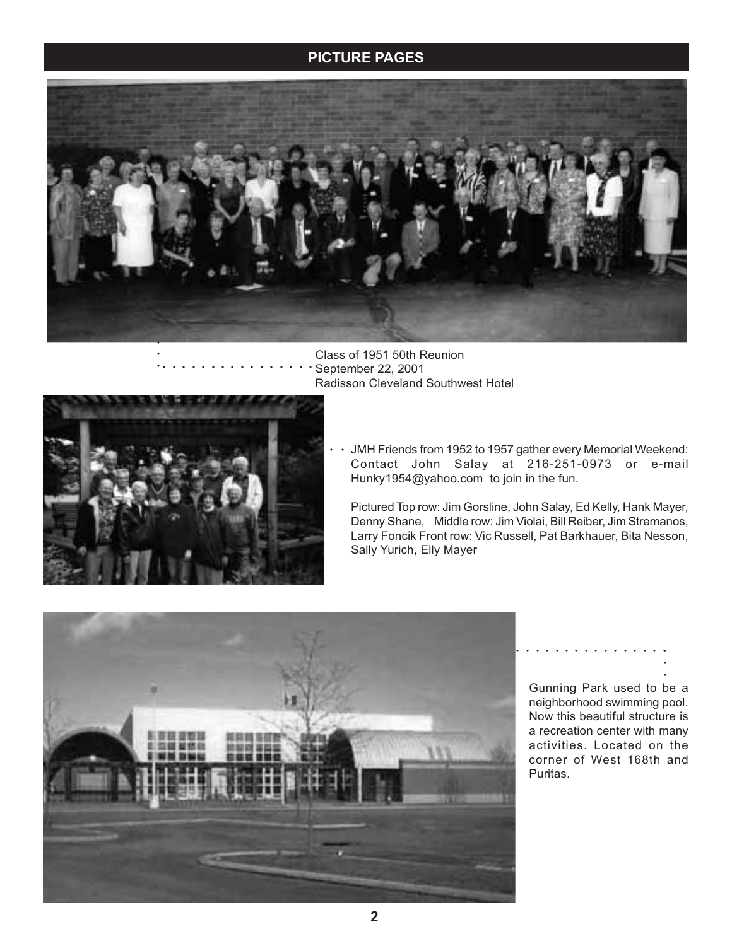## **JOHN MARSHALL HIGH SCHOOL ALUMNI NEWSLET ALUMNI NEWSLET ALUMNI NEWSLET ALUMNI NEWSLET ALUMNI NEWSLET ALU**



Class of 1951 50th Reunion September 22, 2001 Radisson Cleveland Southwest Hotel aaaaaaaaaaaaaaaa



JMH Friends from 1952 to 1957 gather every Memorial Weekend: Contact John Salay at 216-251-0973 or e-mail Hunky1954@yahoo.com to join in the fun. aaa

Pictured Top row: Jim Gorsline, John Salay, Ed Kelly, Hank Mayer, Denny Shane, Middle row: Jim Violai, Bill Reiber, Jim Stremanos, Larry Foncik Front row: Vic Russell, Pat Barkhauer, Bita Nesson, Sally Yurich, Elly Mayer



aaaaaaaaaaaaaaaaaaa

Gunning Park used to be a neighborhood swimming pool. Now this beautiful structure is a recreation center with many activities. Located on the corner of West 168th and Puritas.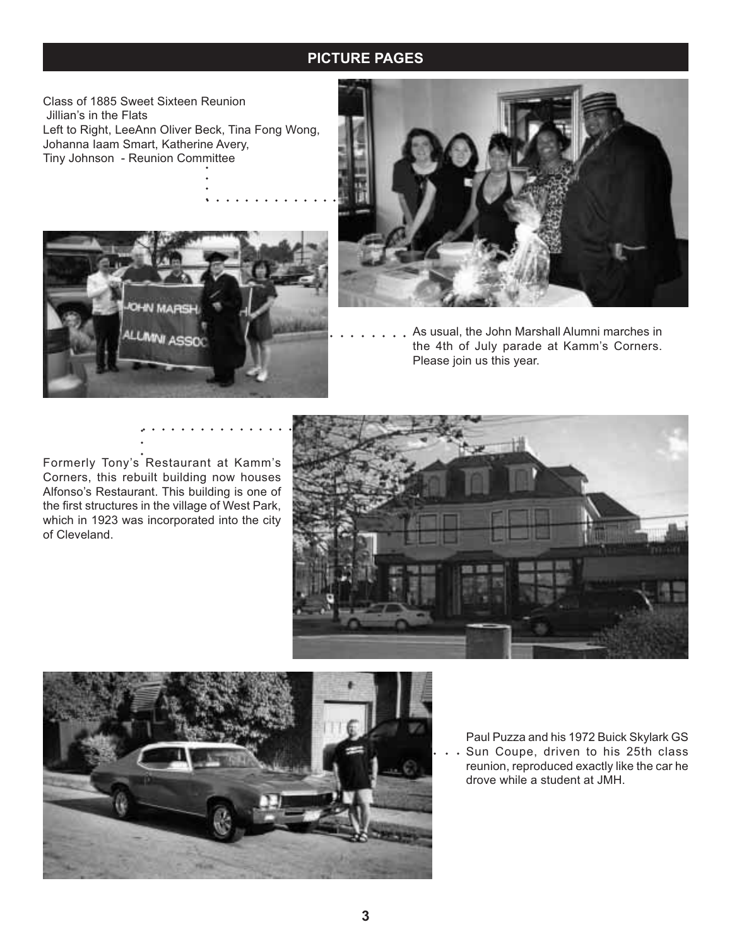## **JOHN MARSHALL HIGH SCHOOL ALUMNI NEWSLET ALUMNI NEWSLET ALUMNI NEWSLET ALUMNI NEWSLET ALUMNI NEWSLET ALU**

Class of 1885 Sweet Sixteen Reunion Jillian's in the Flats Left to Right, LeeAnn Oliver Beck, Tina Fong Wong, Johanna Iaam Smart, Katherine Avery, Tiny Johnson - Reunion Committee

.<br>.<br>. . . . . . . . . . . . . .





aaaaaaaa As usual, the John Marshall Alumni marches in the 4th of July parade at Kamm's Corners. Please join us this year.

. . . . . . . . . . . . . . . .<br>.<br>.

Formerly Tony's Restaurant at Kamm's Corners, this rebuilt building now houses Alfonso's Restaurant. This building is one of the first structures in the village of West Park, which in 1923 was incorporated into the city of Cleveland.





 $\cdots$  Sun Coupe, driven to his 25th class Paul Puzza and his 1972 Buick Skylark GS reunion, reproduced exactly like the car he drove while a student at JMH.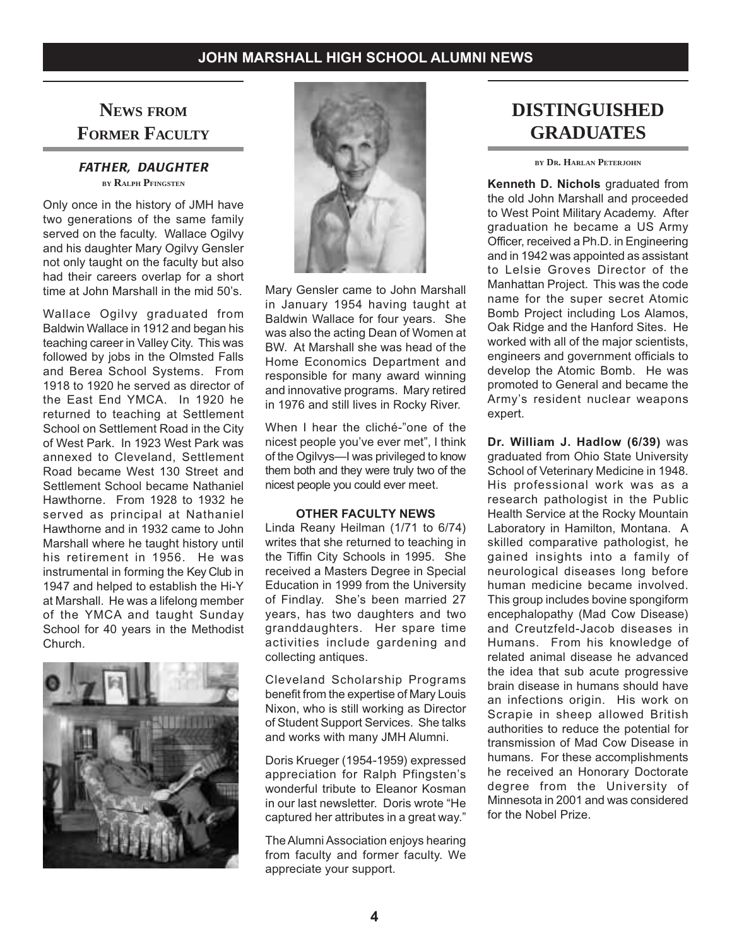## **NEWS FROM FORMER FACULTY**

#### *FATHER, DAUGHTER* **BY RALPH PFINGSTEN**

Only once in the history of JMH have two generations of the same family served on the faculty. Wallace Ogilvy and his daughter Mary Ogilvy Gensler not only taught on the faculty but also had their careers overlap for a short time at John Marshall in the mid 50's.

Wallace Ogilvy graduated from Baldwin Wallace in 1912 and began his teaching career in Valley City. This was followed by jobs in the Olmsted Falls and Berea School Systems. From 1918 to 1920 he served as director of the East End YMCA. In 1920 he returned to teaching at Settlement School on Settlement Road in the City of West Park. In 1923 West Park was annexed to Cleveland, Settlement Road became West 130 Street and Settlement School became Nathaniel Hawthorne. From 1928 to 1932 he served as principal at Nathaniel Hawthorne and in 1932 came to John Marshall where he taught history until his retirement in 1956. He was instrumental in forming the Key Club in 1947 and helped to establish the Hi-Y at Marshall. He was a lifelong member of the YMCA and taught Sunday School for 40 years in the Methodist Church.





Mary Gensler came to John Marshall in January 1954 having taught at Baldwin Wallace for four years. She was also the acting Dean of Women at BW. At Marshall she was head of the Home Economics Department and responsible for many award winning and innovative programs. Mary retired in 1976 and still lives in Rocky River.

When I hear the cliché-"one of the nicest people you've ever met", I think of the Ogilvys—I was privileged to know them both and they were truly two of the nicest people you could ever meet.

#### **OTHER FACULTY NEWS**

Linda Reany Heilman (1/71 to 6/74) writes that she returned to teaching in the Tiffin City Schools in 1995. She received a Masters Degree in Special Education in 1999 from the University of Findlay. She's been married 27 years, has two daughters and two granddaughters. Her spare time activities include gardening and collecting antiques.

Cleveland Scholarship Programs benefit from the expertise of Mary Louis Nixon, who is still working as Director of Student Support Services. She talks and works with many JMH Alumni.

Doris Krueger (1954-1959) expressed appreciation for Ralph Pfingsten's wonderful tribute to Eleanor Kosman in our last newsletter. Doris wrote "He captured her attributes in a great way."

The Alumni Association enjoys hearing from faculty and former faculty. We appreciate your support.

# **DISTINGUISHED GRADUATES**

**BY DR. HARLAN PETERJOHN**

**Kenneth D. Nichols** graduated from the old John Marshall and proceeded to West Point Military Academy. After graduation he became a US Army Officer, received a Ph.D. in Engineering and in 1942 was appointed as assistant to Lelsie Groves Director of the Manhattan Project. This was the code name for the super secret Atomic Bomb Project including Los Alamos, Oak Ridge and the Hanford Sites. He worked with all of the major scientists, engineers and government officials to develop the Atomic Bomb. He was promoted to General and became the Army's resident nuclear weapons expert.

**Dr. William J. Hadlow (6/39)** was graduated from Ohio State University School of Veterinary Medicine in 1948. His professional work was as a research pathologist in the Public Health Service at the Rocky Mountain Laboratory in Hamilton, Montana. A skilled comparative pathologist, he gained insights into a family of neurological diseases long before human medicine became involved. This group includes bovine spongiform encephalopathy (Mad Cow Disease) and Creutzfeld-Jacob diseases in Humans. From his knowledge of related animal disease he advanced the idea that sub acute progressive brain disease in humans should have an infections origin. His work on Scrapie in sheep allowed British authorities to reduce the potential for transmission of Mad Cow Disease in humans. For these accomplishments he received an Honorary Doctorate degree from the University of Minnesota in 2001 and was considered for the Nobel Prize.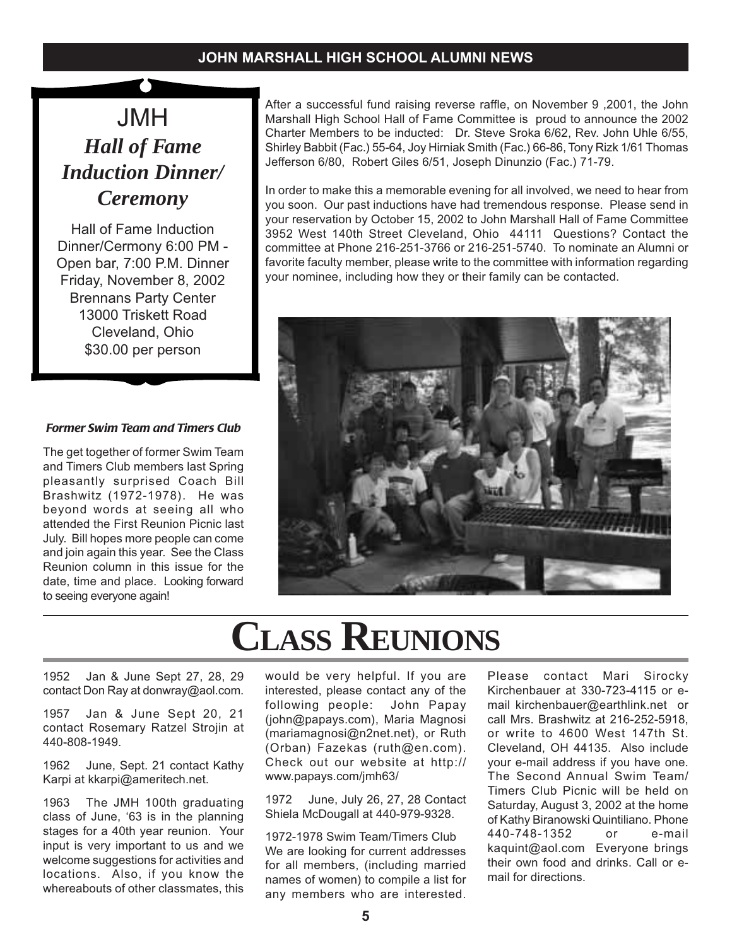JMH *Hall of Fame Induction Dinner/ Ceremony*

Hall of Fame Induction Dinner/Cermony 6:00 PM - Open bar, 7:00 P.M. Dinner Friday, November 8, 2002 Brennans Party Center 13000 Triskett Road Cleveland, Ohio \$30.00 per person

#### *Former Swim Team and Timers Club*

The get together of former Swim Team and Timers Club members last Spring pleasantly surprised Coach Bill Brashwitz (1972-1978). He was beyond words at seeing all who attended the First Reunion Picnic last July. Bill hopes more people can come and join again this year. See the Class Reunion column in this issue for the date, time and place. Looking forward to seeing everyone again!

After a successful fund raising reverse raffle, on November 9 ,2001, the John Marshall High School Hall of Fame Committee is proud to announce the 2002 Charter Members to be inducted: Dr. Steve Sroka 6/62, Rev. John Uhle 6/55, Shirley Babbit (Fac.) 55-64, Joy Hirniak Smith (Fac.) 66-86, Tony Rizk 1/61 Thomas Jefferson 6/80, Robert Giles 6/51, Joseph Dinunzio (Fac.) 71-79.

In order to make this a memorable evening for all involved, we need to hear from you soon. Our past inductions have had tremendous response. Please send in your reservation by October 15, 2002 to John Marshall Hall of Fame Committee 3952 West 140th Street Cleveland, Ohio 44111 Questions? Contact the committee at Phone 216-251-3766 or 216-251-5740. To nominate an Alumni or favorite faculty member, please write to the committee with information regarding your nominee, including how they or their family can be contacted.



# **CLASS REUNIONS**

1952 Jan & June Sept 27, 28, 29 contact Don Ray at donwray@aol.com.

1957 Jan & June Sept 20, 21 contact Rosemary Ratzel Strojin at 440-808-1949.

1962 June, Sept. 21 contact Kathy Karpi at kkarpi@ameritech.net.

1963 The JMH 100th graduating class of June, '63 is in the planning stages for a 40th year reunion. Your input is very important to us and we welcome suggestions for activities and locations. Also, if you know the whereabouts of other classmates, this

would be very helpful. If you are interested, please contact any of the following people: John Papay (john@papays.com), Maria Magnosi (mariamagnosi@n2net.net), or Ruth (Orban) Fazekas (ruth@en.com). Check out our website at http:// www.papays.com/jmh63/

1972 June, July 26, 27, 28 Contact Shiela McDougall at 440-979-9328.

1972-1978 Swim Team/Timers Club We are looking for current addresses for all members, (including married names of women) to compile a list for any members who are interested.

Please contact Mari Sirocky Kirchenbauer at 330-723-4115 or email kirchenbauer@earthlink.net or call Mrs. Brashwitz at 216-252-5918, or write to 4600 West 147th St. Cleveland, OH 44135. Also include your e-mail address if you have one. The Second Annual Swim Team/ Timers Club Picnic will be held on Saturday, August 3, 2002 at the home of Kathy Biranowski Quintiliano. Phone 440-748-1352 or e-mail kaquint@aol.com Everyone brings their own food and drinks. Call or email for directions.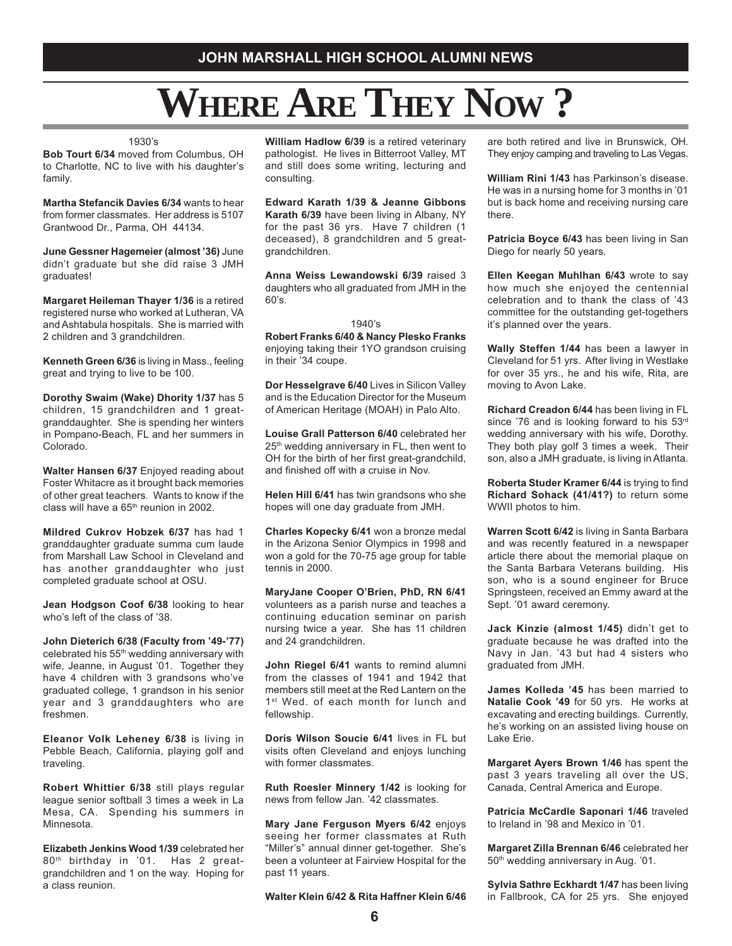# **WHERE ARE THEY NOW ?**

#### 1930's

**Bob Tourt 6/34** moved from Columbus, OH to Charlotte, NC to live with his daughter's family.

**Martha Stefancik Davies 6/34** wants to hear from former classmates. Her address is 5107 Grantwood Dr., Parma, OH 44134.

**June Gessner Hagemeier (almost '36)** June didn't graduate but she did raise 3 JMH graduates!

**Margaret Heileman Thayer 1/36** is a retired registered nurse who worked at Lutheran, VA and Ashtabula hospitals. She is married with 2 children and 3 grandchildren.

**Kenneth Green 6/36** is living in Mass., feeling great and trying to live to be 100.

**Dorothy Swaim (Wake) Dhority 1/37** has 5 children, 15 grandchildren and 1 greatgranddaughter. She is spending her winters in Pompano-Beach, FL and her summers in Colorado.

**Walter Hansen 6/37** Enjoyed reading about Foster Whitacre as it brought back memories of other great teachers. Wants to know if the class will have a  $65<sup>th</sup>$  reunion in 2002.

**Mildred Cukrov Hobzek 6/37** has had 1 granddaughter graduate summa cum laude from Marshall Law School in Cleveland and has another granddaughter who just completed graduate school at OSU.

**Jean Hodgson Coof 6/38** looking to hear who's left of the class of '38.

**John Dieterich 6/38 (Faculty from '49-'77)** celebrated his 55th wedding anniversary with wife, Jeanne, in August '01. Together they have 4 children with 3 grandsons who've graduated college, 1 grandson in his senior year and 3 granddaughters who are freshmen.

**Eleanor Volk Leheney 6/38** is living in Pebble Beach, California, playing golf and traveling.

**Robert Whittier 6/38** still plays regular league senior softball 3 times a week in La Mesa, CA. Spending his summers in Minnesota.

**Elizabeth Jenkins Wood 1/39** celebrated her 80<sup>th</sup> birthday in '01. Has 2 greatgrandchildren and 1 on the way. Hoping for a class reunion.

**William Hadlow 6/39** is a retired veterinary pathologist. He lives in Bitterroot Valley, MT and still does some writing, lecturing and consulting.

**Edward Karath 1/39 & Jeanne Gibbons Karath 6/39** have been living in Albany, NY for the past 36 yrs. Have 7 children (1 deceased), 8 grandchildren and 5 greatgrandchildren.

**Anna Weiss Lewandowski 6/39** raised 3 daughters who all graduated from JMH in the 60's.

#### 1940's

**Robert Franks 6/40 & Nancy Plesko Franks** enjoying taking their 1YO grandson cruising in their '34 coupe.

**Dor Hesselgrave 6/40** Lives in Silicon Valley and is the Education Director for the Museum of American Heritage (MOAH) in Palo Alto.

**Louise Grall Patterson 6/40** celebrated her 25<sup>th</sup> wedding anniversary in FL, then went to OH for the birth of her first great-grandchild, and finished off with a cruise in Nov.

**Helen Hill 6/41** has twin grandsons who she hopes will one day graduate from JMH.

**Charles Kopecky 6/41** won a bronze medal in the Arizona Senior Olympics in 1998 and won a gold for the 70-75 age group for table tennis in 2000.

**MaryJane Cooper O'Brien, PhD, RN 6/41** volunteers as a parish nurse and teaches a continuing education seminar on parish nursing twice a year. She has 11 children and 24 grandchildren.

**John Riegel 6/41** wants to remind alumni from the classes of 1941 and 1942 that members still meet at the Red Lantern on the 1st Wed. of each month for lunch and fellowship.

**Doris Wilson Soucie 6/41** lives in FL but visits often Cleveland and enjoys lunching with former classmates.

**Ruth Roesler Minnery 1/42** is looking for news from fellow Jan. '42 classmates.

**Mary Jane Ferguson Myers 6/42** enjoys seeing her former classmates at Ruth "Miller's" annual dinner get-together. She's been a volunteer at Fairview Hospital for the past 11 years.

**Walter Klein 6/42 & Rita Haffner Klein 6/46**

are both retired and live in Brunswick, OH. They enjoy camping and traveling to Las Vegas.

**William Rini 1/43** has Parkinson's disease. He was in a nursing home for 3 months in '01 but is back home and receiving nursing care there.

**Patricia Boyce 6/43** has been living in San Diego for nearly 50 years.

**Ellen Keegan Muhlhan 6/43** wrote to say how much she enjoyed the centennial celebration and to thank the class of '43 committee for the outstanding get-togethers it's planned over the years.

**Wally Steffen 1/44** has been a lawyer in Cleveland for 51 yrs. After living in Westlake for over 35 yrs., he and his wife, Rita, are moving to Avon Lake.

**Richard Creadon 6/44** has been living in FL since '76 and is looking forward to his 53rd wedding anniversary with his wife, Dorothy. They both play golf 3 times a week. Their son, also a JMH graduate, is living in Atlanta.

**Roberta Studer Kramer 6/44** is trying to find **Richard Sohack (41/41?)** to return some WWII photos to him.

**Warren Scott 6/42** is living in Santa Barbara and was recently featured in a newspaper article there about the memorial plaque on the Santa Barbara Veterans building. His son, who is a sound engineer for Bruce Springsteen, received an Emmy award at the Sept. '01 award ceremony.

**Jack Kinzie (almost 1/45)** didn't get to graduate because he was drafted into the Navy in Jan. '43 but had 4 sisters who graduated from JMH.

**James Kolleda '45** has been married to **Natalie Cook '49** for 50 yrs. He works at excavating and erecting buildings. Currently, he's working on an assisted living house on Lake Erie.

**Margaret Ayers Brown 1/46** has spent the past 3 years traveling all over the US, Canada, Central America and Europe.

**Patricia McCardle Saponari 1/46** traveled to Ireland in '98 and Mexico in '01.

**Margaret Zilla Brennan 6/46** celebrated her 50<sup>th</sup> wedding anniversary in Aug. '01.

**Sylvia Sathre Eckhardt 1/47** has been living in Fallbrook, CA for 25 yrs. She enjoyed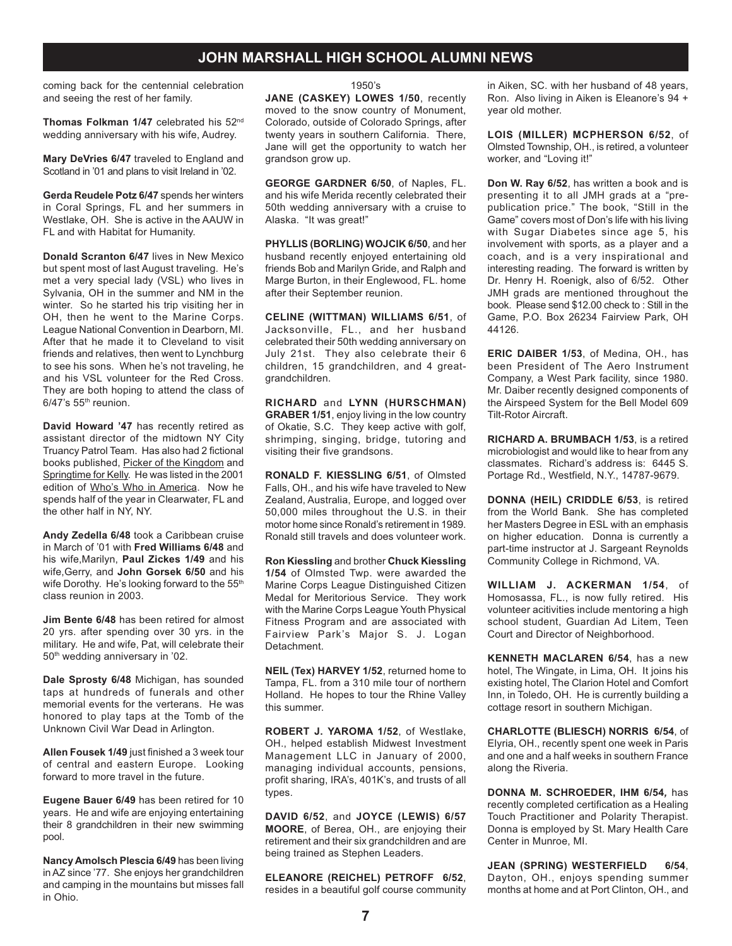coming back for the centennial celebration and seeing the rest of her family.

**Thomas Folkman 1/47** celebrated his 52nd wedding anniversary with his wife, Audrey.

**Mary DeVries 6/47** traveled to England and Scotland in '01 and plans to visit Ireland in '02.

**Gerda Reudele Potz 6/47** spends her winters in Coral Springs, FL and her summers in Westlake, OH. She is active in the AAUW in FL and with Habitat for Humanity.

**Donald Scranton 6/47** lives in New Mexico but spent most of last August traveling. He's met a very special lady (VSL) who lives in Sylvania, OH in the summer and NM in the winter. So he started his trip visiting her in OH, then he went to the Marine Corps. League National Convention in Dearborn, MI. After that he made it to Cleveland to visit friends and relatives, then went to Lynchburg to see his sons. When he's not traveling, he and his VSL volunteer for the Red Cross. They are both hoping to attend the class of  $6/47$ 's  $55<sup>th</sup>$  reunion.

**David Howard '47** has recently retired as assistant director of the midtown NY City Truancy Patrol Team. Has also had 2 fictional books published, Picker of the Kingdom and Springtime for Kelly. He was listed in the 2001 edition of Who's Who in America. Now he spends half of the year in Clearwater, FL and the other half in NY, NY.

**Andy Zedella 6/48** took a Caribbean cruise in March of '01 with **Fred Williams 6/48** and his wife,Marilyn, **Paul Zickes 1/49** and his wife,Gerry, and **John Gorsek 6/50** and his wife Dorothy. He's looking forward to the 55<sup>th</sup> class reunion in 2003.

**Jim Bente 6/48** has been retired for almost 20 yrs. after spending over 30 yrs. in the military. He and wife, Pat, will celebrate their 50th wedding anniversary in '02.

**Dale Sprosty 6/48** Michigan, has sounded taps at hundreds of funerals and other memorial events for the verterans. He was honored to play taps at the Tomb of the Unknown Civil War Dead in Arlington.

**Allen Fousek 1/49** just finished a 3 week tour of central and eastern Europe. Looking forward to more travel in the future.

**Eugene Bauer 6/49** has been retired for 10 years. He and wife are enjoying entertaining their 8 grandchildren in their new swimming pool.

**Nancy Amolsch Plescia 6/49** has been living in AZ since '77. She enjoys her grandchildren and camping in the mountains but misses fall in Ohio.

#### 1950's

**JANE (CASKEY) LOWES 1/50**, recently moved to the snow country of Monument, Colorado, outside of Colorado Springs, after twenty years in southern California. There, Jane will get the opportunity to watch her grandson grow up.

**GEORGE GARDNER 6/50**, of Naples, FL. and his wife Merida recently celebrated their 50th wedding anniversary with a cruise to Alaska. "It was great!"

**PHYLLIS (BORLING) WOJCIK 6/50**, and her husband recently enjoyed entertaining old friends Bob and Marilyn Gride, and Ralph and Marge Burton, in their Englewood, FL. home after their September reunion.

**CELINE (WITTMAN) WILLIAMS 6/51**, of Jacksonville, FL., and her husband celebrated their 50th wedding anniversary on July 21st. They also celebrate their 6 children, 15 grandchildren, and 4 greatgrandchildren.

**RICHARD** and **LYNN (HURSCHMAN) GRABER 1/51**, enjoy living in the low country of Okatie, S.C. They keep active with golf, shrimping, singing, bridge, tutoring and visiting their five grandsons.

**RONALD F. KIESSLING 6/51**, of Olmsted Falls, OH., and his wife have traveled to New Zealand, Australia, Europe, and logged over 50,000 miles throughout the U.S. in their motor home since Ronald's retirement in 1989. Ronald still travels and does volunteer work.

**Ron Kiessling** and brother **Chuck Kiessling 1/54** of Olmsted Twp. were awarded the Marine Corps League Distinguished Citizen Medal for Meritorious Service. They work with the Marine Corps League Youth Physical Fitness Program and are associated with Fairview Park's Major S. J. Logan Detachment.

**NEIL (Tex) HARVEY 1/52**, returned home to Tampa, FL. from a 310 mile tour of northern Holland. He hopes to tour the Rhine Valley this summer.

**ROBERT J. YAROMA 1/52**, of Westlake, OH., helped establish Midwest Investment Management LLC in January of 2000, managing individual accounts, pensions, profit sharing, IRA's, 401K's, and trusts of all types.

**DAVID 6/52**, and **JOYCE (LEWIS) 6/57 MOORE**, of Berea, OH., are enjoying their retirement and their six grandchildren and are being trained as Stephen Leaders.

**ELEANORE (REICHEL) PETROFF 6/52**, resides in a beautiful golf course community in Aiken, SC. with her husband of 48 years, Ron. Also living in Aiken is Eleanore's 94 + year old mother.

**LOIS (MILLER) MCPHERSON 6/52**, of Olmsted Township, OH., is retired, a volunteer worker, and "Loving it!"

**Don W. Ray 6/52**, has written a book and is presenting it to all JMH grads at a "prepublication price." The book, "Still in the Game" covers most of Don's life with his living with Sugar Diabetes since age 5, his involvement with sports, as a player and a coach, and is a very inspirational and interesting reading. The forward is written by Dr. Henry H. Roenigk, also of 6/52. Other JMH grads are mentioned throughout the book. Please send \$12.00 check to : Still in the Game, P.O. Box 26234 Fairview Park, OH 44126.

**ERIC DAIBER 1/53**, of Medina, OH., has been President of The Aero Instrument Company, a West Park facility, since 1980. Mr. Daiber recently designed components of the Airspeed System for the Bell Model 609 Tilt-Rotor Aircraft.

**RICHARD A. BRUMBACH 1/53**, is a retired microbiologist and would like to hear from any classmates. Richard's address is: 6445 S. Portage Rd., Westfield, N.Y., 14787-9679.

**DONNA (HEIL) CRIDDLE 6/53**, is retired from the World Bank. She has completed her Masters Degree in ESL with an emphasis on higher education. Donna is currently a part-time instructor at J. Sargeant Reynolds Community College in Richmond, VA.

**WILLIAM J. ACKERMAN 1/54**, of Homosassa, FL., is now fully retired. His volunteer acitivities include mentoring a high school student, Guardian Ad Litem, Teen Court and Director of Neighborhood.

**KENNETH MACLAREN 6/54**, has a new hotel, The Wingate, in Lima, OH. It joins his existing hotel, The Clarion Hotel and Comfort Inn, in Toledo, OH. He is currently building a cottage resort in southern Michigan.

**CHARLOTTE (BLIESCH) NORRIS 6/54**, of Elyria, OH., recently spent one week in Paris and one and a half weeks in southern France along the Riveria.

**DONNA M. SCHROEDER, IHM 6/54***,* has recently completed certification as a Healing Touch Practitioner and Polarity Therapist. Donna is employed by St. Mary Health Care Center in Munroe, MI.

**JEAN (SPRING) WESTERFIELD 6/54**, Dayton, OH., enjoys spending summer months at home and at Port Clinton, OH., and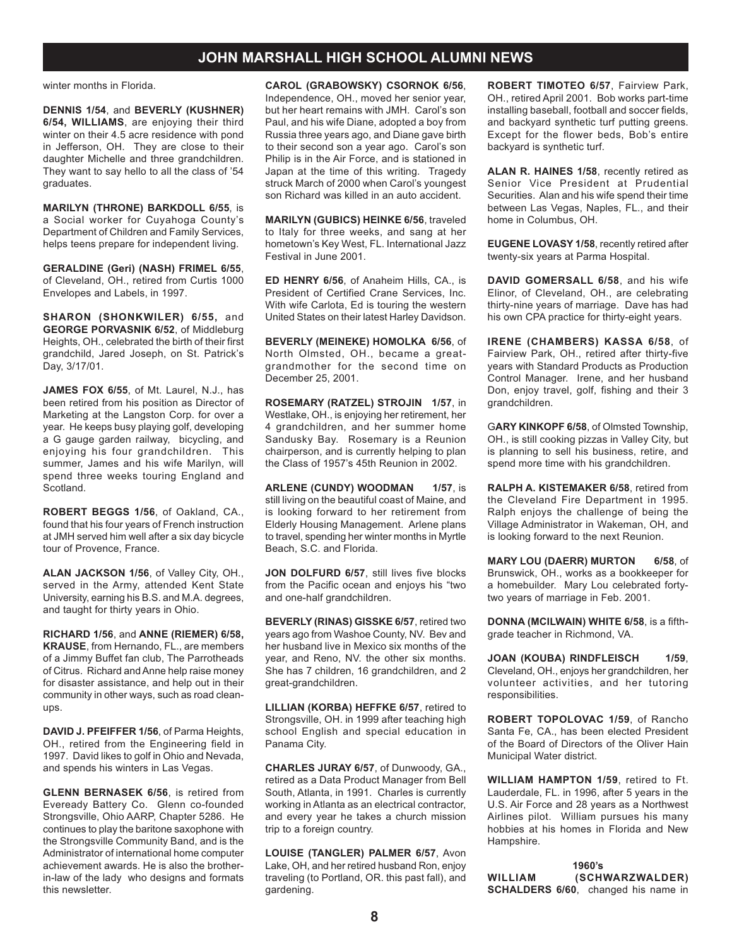winter months in Florida.

**DENNIS 1/54**, and **BEVERLY (KUSHNER) 6/54, WILLIAMS**, are enjoying their third winter on their 4.5 acre residence with pond in Jefferson, OH. They are close to their daughter Michelle and three grandchildren. They want to say hello to all the class of '54 graduates.

**MARILYN (THRONE) BARKDOLL 6/55**, is a Social worker for Cuyahoga County's Department of Children and Family Services, helps teens prepare for independent living.

**GERALDINE (Geri) (NASH) FRIMEL 6/55**, of Cleveland, OH., retired from Curtis 1000 Envelopes and Labels, in 1997.

**SHARON (SHONKWILER) 6/55,** and **GEORGE PORVASNIK 6/52**, of Middleburg Heights, OH., celebrated the birth of their first grandchild, Jared Joseph, on St. Patrick's Day, 3/17/01.

**JAMES FOX 6/55**, of Mt. Laurel, N.J., has been retired from his position as Director of Marketing at the Langston Corp. for over a year. He keeps busy playing golf, developing a G gauge garden railway, bicycling, and enjoying his four grandchildren. This summer, James and his wife Marilyn, will spend three weeks touring England and Scotland.

**ROBERT BEGGS 1/56**, of Oakland, CA., found that his four years of French instruction at JMH served him well after a six day bicycle tour of Provence, France.

**ALAN JACKSON 1/56**, of Valley City, OH., served in the Army, attended Kent State University, earning his B.S. and M.A. degrees, and taught for thirty years in Ohio.

**RICHARD 1/56**, and **ANNE (RIEMER) 6/58, KRAUSE**, from Hernando, FL., are members of a Jimmy Buffet fan club, The Parrotheads of Citrus. Richard and Anne help raise money for disaster assistance, and help out in their community in other ways, such as road cleanups.

**DAVID J. PFEIFFER 1/56**, of Parma Heights, OH., retired from the Engineering field in 1997. David likes to golf in Ohio and Nevada, and spends his winters in Las Vegas.

**GLENN BERNASEK 6/56**, is retired from Eveready Battery Co. Glenn co-founded Strongsville, Ohio AARP, Chapter 5286. He continues to play the baritone saxophone with the Strongsville Community Band, and is the Administrator of international home computer achievement awards. He is also the brotherin-law of the lady who designs and formats this newsletter.

**CAROL (GRABOWSKY) CSORNOK 6/56**, Independence, OH., moved her senior year, but her heart remains with JMH. Carol's son Paul, and his wife Diane, adopted a boy from Russia three years ago, and Diane gave birth to their second son a year ago. Carol's son Philip is in the Air Force, and is stationed in Japan at the time of this writing. Tragedy struck March of 2000 when Carol's youngest son Richard was killed in an auto accident.

**MARILYN (GUBICS) HEINKE 6/56**, traveled to Italy for three weeks, and sang at her hometown's Key West, FL. International Jazz Festival in June 2001.

**ED HENRY 6/56**, of Anaheim Hills, CA., is President of Certified Crane Services, Inc. With wife Carlota, Ed is touring the western United States on their latest Harley Davidson.

**BEVERLY (MEINEKE) HOMOLKA 6/56**, of North Olmsted, OH., became a greatgrandmother for the second time on December 25, 2001.

**ROSEMARY (RATZEL) STROJIN 1/57**, in Westlake, OH., is enjoying her retirement, her 4 grandchildren, and her summer home Sandusky Bay. Rosemary is a Reunion chairperson, and is currently helping to plan the Class of 1957's 45th Reunion in 2002.

**ARLENE (CUNDY) WOODMAN 1/57, is** still living on the beautiful coast of Maine, and is looking forward to her retirement from Elderly Housing Management. Arlene plans to travel, spending her winter months in Myrtle Beach, S.C. and Florida.

JON DOLFURD 6/57, still lives five blocks from the Pacific ocean and enjoys his "two and one-half grandchildren.

**BEVERLY (RINAS) GISSKE 6/57**, retired two years ago from Washoe County, NV. Bev and her husband live in Mexico six months of the year, and Reno, NV. the other six months. She has 7 children, 16 grandchildren, and 2 great-grandchildren.

**LILLIAN (KORBA) HEFFKE 6/57**, retired to Strongsville, OH. in 1999 after teaching high school English and special education in Panama City.

**CHARLES JURAY 6/57**, of Dunwoody, GA., retired as a Data Product Manager from Bell South, Atlanta, in 1991. Charles is currently working in Atlanta as an electrical contractor, and every year he takes a church mission trip to a foreign country.

**LOUISE (TANGLER) PALMER 6/57**, Avon Lake, OH, and her retired husband Ron, enjoy traveling (to Portland, OR. this past fall), and gardening.

**ROBERT TIMOTEO 6/57**, Fairview Park, OH., retired April 2001. Bob works part-time installing baseball, football and soccer fields, and backyard synthetic turf putting greens. Except for the flower beds, Bob's entire backyard is synthetic turf.

**ALAN R. HAINES 1/58**, recently retired as Senior Vice President at Prudential Securities. Alan and his wife spend their time between Las Vegas, Naples, FL., and their home in Columbus, OH.

**EUGENE LOVASY 1/58**, recently retired after twenty-six years at Parma Hospital.

**DAVID GOMERSALL 6/58**, and his wife Elinor, of Cleveland, OH., are celebrating thirty-nine years of marriage. Dave has had his own CPA practice for thirty-eight years.

**IRENE (CHAMBERS) KASSA 6/58**, of Fairview Park, OH., retired after thirty-five years with Standard Products as Production Control Manager. Irene, and her husband Don, enjoy travel, golf, fishing and their 3 grandchildren.

G**ARY KINKOPF 6/58**, of Olmsted Township, OH., is still cooking pizzas in Valley City, but is planning to sell his business, retire, and spend more time with his grandchildren.

**RALPH A. KISTEMAKER 6/58**, retired from the Cleveland Fire Department in 1995. Ralph enjoys the challenge of being the Village Administrator in Wakeman, OH, and is looking forward to the next Reunion.

**MARY LOU (DAERR) MURTON 6/58**, of Brunswick, OH., works as a bookkeeper for a homebuilder. Mary Lou celebrated fortytwo years of marriage in Feb. 2001.

**DONNA (MCILWAIN) WHITE 6/58**, is a fifthgrade teacher in Richmond, VA.

**JOAN (KOUBA) RINDFLEISCH 1/59**, Cleveland, OH., enjoys her grandchildren, her volunteer activities, and her tutoring responsibilities.

**ROBERT TOPOLOVAC 1/59**, of Rancho Santa Fe, CA., has been elected President of the Board of Directors of the Oliver Hain Municipal Water district.

**WILLIAM HAMPTON 1/59**, retired to Ft. Lauderdale, FL. in 1996, after 5 years in the U.S. Air Force and 28 years as a Northwest Airlines pilot. William pursues his many hobbies at his homes in Florida and New Hampshire.

**1960's WILLIAM (SCHWARZWALDER) SCHALDERS 6/60**, changed his name in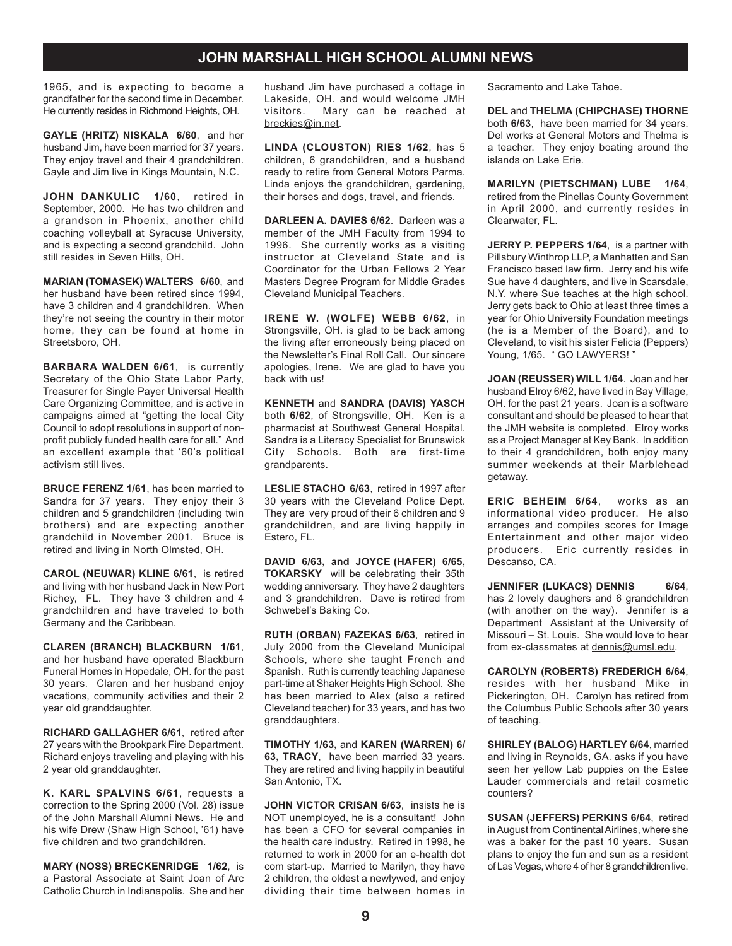1965, and is expecting to become a grandfather for the second time in December. He currently resides in Richmond Heights, OH.

**GAYLE (HRITZ) NISKALA 6/60**, and her husband Jim, have been married for 37 years. They enjoy travel and their 4 grandchildren. Gayle and Jim live in Kings Mountain, N.C.

**JOHN DANKULIC 1/60**, retired in September, 2000. He has two children and a grandson in Phoenix, another child coaching volleyball at Syracuse University, and is expecting a second grandchild. John still resides in Seven Hills, OH.

**MARIAN (TOMASEK) WALTERS 6/60**, and her husband have been retired since 1994, have 3 children and 4 grandchildren. When they're not seeing the country in their motor home, they can be found at home in Streetsboro, OH.

**BARBARA WALDEN 6/61**, is currently Secretary of the Ohio State Labor Party, Treasurer for Single Payer Universal Health Care Organizing Committee, and is active in campaigns aimed at "getting the local City Council to adopt resolutions in support of nonprofit publicly funded health care for all." And an excellent example that '60's political activism still lives.

**BRUCE FERENZ 1/61**, has been married to Sandra for 37 years. They enjoy their 3 children and 5 grandchildren (including twin brothers) and are expecting another grandchild in November 2001. Bruce is retired and living in North Olmsted, OH.

**CAROL (NEUWAR) KLINE 6/61**, is retired and living with her husband Jack in New Port Richey, FL. They have 3 children and 4 grandchildren and have traveled to both Germany and the Caribbean.

**CLAREN (BRANCH) BLACKBURN 1/61**, and her husband have operated Blackburn Funeral Homes in Hopedale, OH. for the past 30 years. Claren and her husband enjoy vacations, community activities and their 2 year old granddaughter.

**RICHARD GALLAGHER 6/61**, retired after 27 years with the Brookpark Fire Department. Richard enjoys traveling and playing with his 2 year old granddaughter.

**K. KARL SPALVINS 6/61**, requests a correction to the Spring 2000 (Vol. 28) issue of the John Marshall Alumni News. He and his wife Drew (Shaw High School, '61) have five children and two grandchildren.

**MARY (NOSS) BRECKENRIDGE 1/62**, is a Pastoral Associate at Saint Joan of Arc Catholic Church in Indianapolis. She and her

husband Jim have purchased a cottage in Lakeside, OH. and would welcome JMH visitors. Mary can be reached at breckies@in.net.

**LINDA (CLOUSTON) RIES 1/62**, has 5 children, 6 grandchildren, and a husband ready to retire from General Motors Parma. Linda enjoys the grandchildren, gardening, their horses and dogs, travel, and friends.

**DARLEEN A. DAVIES 6/62**. Darleen was a member of the JMH Faculty from 1994 to 1996. She currently works as a visiting instructor at Cleveland State and is Coordinator for the Urban Fellows 2 Year Masters Degree Program for Middle Grades Cleveland Municipal Teachers.

**IRENE W. (WOLFE) WEBB 6/62**, in Strongsville, OH. is glad to be back among the living after erroneously being placed on the Newsletter's Final Roll Call. Our sincere apologies, Irene. We are glad to have you back with us!

**KENNETH** and **SANDRA (DAVIS) YASCH** both **6/62**, of Strongsville, OH. Ken is a pharmacist at Southwest General Hospital. Sandra is a Literacy Specialist for Brunswick City Schools. Both are first-time grandparents.

**LESLIE STACHO 6/63**, retired in 1997 after 30 years with the Cleveland Police Dept. They are very proud of their 6 children and 9 grandchildren, and are living happily in Estero, FL.

**DAVID 6/63, and JOYCE (HAFER) 6/65, TOKARSKY** will be celebrating their 35th wedding anniversary. They have 2 daughters and 3 grandchildren. Dave is retired from Schwebel's Baking Co.

**RUTH (ORBAN) FAZEKAS 6/63**, retired in July 2000 from the Cleveland Municipal Schools, where she taught French and Spanish. Ruth is currently teaching Japanese part-time at Shaker Heights High School. She has been married to Alex (also a retired Cleveland teacher) for 33 years, and has two granddaughters.

**TIMOTHY 1/63,** and **KAREN (WARREN) 6/ 63, TRACY**, have been married 33 years. They are retired and living happily in beautiful San Antonio, TX.

**JOHN VICTOR CRISAN 6/63**, insists he is NOT unemployed, he is a consultant! John has been a CFO for several companies in the health care industry. Retired in 1998, he returned to work in 2000 for an e-health dot com start-up. Married to Marilyn, they have 2 children, the oldest a newlywed, and enjoy dividing their time between homes in Sacramento and Lake Tahoe.

**DEL** and **THELMA (CHIPCHASE) THORNE** both **6/63**, have been married for 34 years. Del works at General Motors and Thelma is a teacher. They enjoy boating around the islands on Lake Erie.

**MARILYN (PIETSCHMAN) LUBE 1/64**, retired from the Pinellas County Government in April 2000, and currently resides in Clearwater, FL.

**JERRY P. PEPPERS 1/64**, is a partner with Pillsbury Winthrop LLP, a Manhatten and San Francisco based law firm. Jerry and his wife Sue have 4 daughters, and live in Scarsdale, N.Y. where Sue teaches at the high school. Jerry gets back to Ohio at least three times a year for Ohio University Foundation meetings (he is a Member of the Board), and to Cleveland, to visit his sister Felicia (Peppers) Young, 1/65. " GO LAWYERS!"

**JOAN (REUSSER) WILL 1/64**. Joan and her husband Elroy 6/62, have lived in Bay Village, OH. for the past 21 years. Joan is a software consultant and should be pleased to hear that the JMH website is completed. Elroy works as a Project Manager at Key Bank. In addition to their 4 grandchildren, both enjoy many summer weekends at their Marblehead getaway.

**ERIC BEHEIM 6/64**, works as an informational video producer. He also arranges and compiles scores for Image Entertainment and other major video producers. Eric currently resides in Descanso, CA.

**JENNIFER (LUKACS) DENNIS 6/64**, has 2 lovely daughers and 6 grandchildren (with another on the way). Jennifer is a Department Assistant at the University of Missouri – St. Louis. She would love to hear from ex-classmates at dennis@umsl.edu.

**CAROLYN (ROBERTS) FREDERICH 6/64**, resides with her husband Mike in Pickerington, OH. Carolyn has retired from the Columbus Public Schools after 30 years of teaching.

**SHIRLEY (BALOG) HARTLEY 6/64**, married and living in Reynolds, GA. asks if you have seen her yellow Lab puppies on the Estee Lauder commercials and retail cosmetic counters?

**SUSAN (JEFFERS) PERKINS 6/64**, retired in August from Continental Airlines, where she was a baker for the past 10 years. Susan plans to enjoy the fun and sun as a resident of Las Vegas, where 4 of her 8 grandchildren live.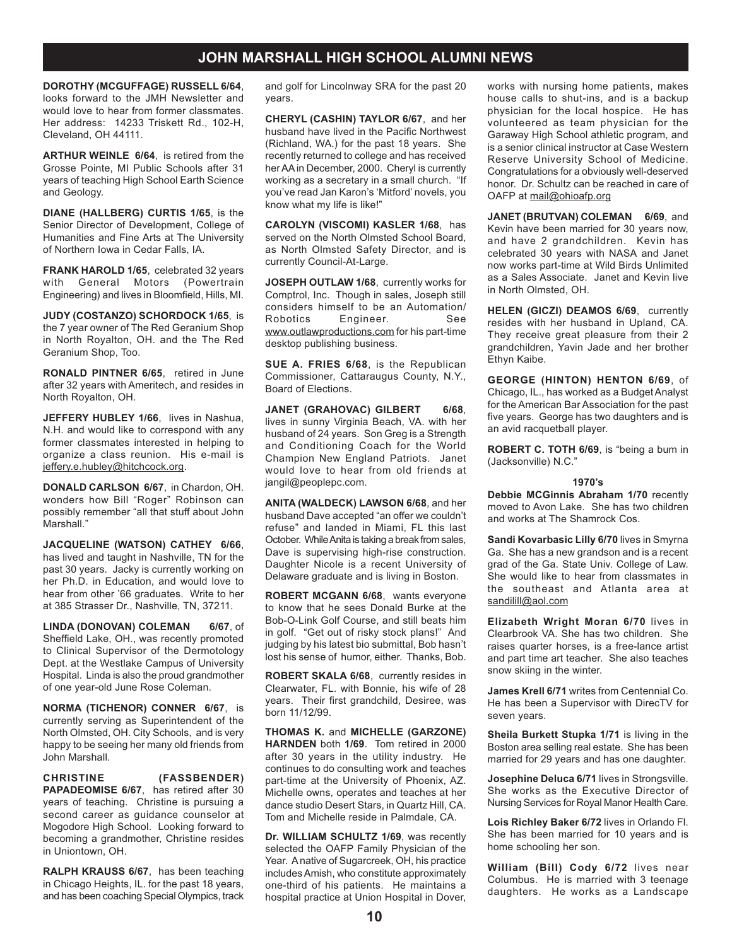**DOROTHY (MCGUFFAGE) RUSSELL 6/64**, looks forward to the JMH Newsletter and would love to hear from former classmates. Her address: 14233 Triskett Rd., 102-H, Cleveland, OH 44111.

**ARTHUR WEINLE 6/64**, is retired from the Grosse Pointe, MI Public Schools after 31 years of teaching High School Earth Science and Geology.

**DIANE (HALLBERG) CURTIS 1/65**, is the Senior Director of Development, College of Humanities and Fine Arts at The University of Northern Iowa in Cedar Falls, IA.

**FRANK HAROLD 1/65**, celebrated 32 years with General Motors (Powertrain Engineering) and lives in Bloomfield, Hills, MI.

**JUDY (COSTANZO) SCHORDOCK 1/65**, is the 7 year owner of The Red Geranium Shop in North Royalton, OH. and the The Red Geranium Shop, Too.

**RONALD PINTNER 6/65**, retired in June after 32 years with Ameritech, and resides in North Royalton, OH.

**JEFFERY HUBLEY 1/66**, lives in Nashua, N.H. and would like to correspond with any former classmates interested in helping to organize a class reunion. His e-mail is jeffery.e.hubley@hitchcock.org.

**DONALD CARLSON 6/67**, in Chardon, OH. wonders how Bill "Roger" Robinson can possibly remember "all that stuff about John Marshall."

**JACQUELINE (WATSON) CATHEY 6/66**, has lived and taught in Nashville, TN for the past 30 years. Jacky is currently working on her Ph.D. in Education, and would love to hear from other '66 graduates. Write to her at 385 Strasser Dr., Nashville, TN, 37211.

**LINDA (DONOVAN) COLEMAN 6/67**, of Sheffield Lake, OH., was recently promoted to Clinical Supervisor of the Dermotology Dept. at the Westlake Campus of University Hospital. Linda is also the proud grandmother of one year-old June Rose Coleman.

**NORMA (TICHENOR) CONNER 6/67**, is currently serving as Superintendent of the North Olmsted, OH. City Schools, and is very happy to be seeing her many old friends from John Marshall.

**CHRISTINE (FASSBENDER) PAPADEOMISE 6/67**, has retired after 30 years of teaching. Christine is pursuing a second career as guidance counselor at Mogodore High School. Looking forward to becoming a grandmother, Christine resides in Uniontown, OH.

**RALPH KRAUSS 6/67**, has been teaching in Chicago Heights, IL. for the past 18 years, and has been coaching Special Olympics, track

and golf for Lincolnway SRA for the past 20 years.

**CHERYL (CASHIN) TAYLOR 6/67**, and her husband have lived in the Pacific Northwest (Richland, WA.) for the past 18 years. She recently returned to college and has received her AA in December, 2000. Cheryl is currently working as a secretary in a small church. "If you've read Jan Karon's 'Mitford' novels, you know what my life is like!"

**CAROLYN (VISCOMI) KASLER 1/68**, has served on the North Olmsted School Board, as North Olmsted Safety Director, and is currently Council-At-Large.

**JOSEPH OUTLAW 1/68**, currently works for Comptrol, Inc. Though in sales, Joseph still considers himself to be an Automation/ Robotics Engineer. See www.outlawproductions.com for his part-time desktop publishing business.

**SUE A. FRIES 6/68**, is the Republican Commissioner, Cattaraugus County, N.Y., Board of Elections.

**JANET (GRAHOVAC) GILBERT 6/68**, lives in sunny Virginia Beach, VA. with her husband of 24 years. Son Greg is a Strength and Conditioning Coach for the World Champion New England Patriots. Janet would love to hear from old friends at jangil@peoplepc.com.

**ANITA (WALDECK) LAWSON 6/68**, and her husband Dave accepted "an offer we couldn't refuse" and landed in Miami, FL this last October. While Anita is taking a break from sales, Dave is supervising high-rise construction. Daughter Nicole is a recent University of Delaware graduate and is living in Boston.

**ROBERT MCGANN 6/68**, wants everyone to know that he sees Donald Burke at the Bob-O-Link Golf Course, and still beats him in golf. "Get out of risky stock plans!" And judging by his latest bio submittal, Bob hasn't lost his sense of humor, either. Thanks, Bob.

**ROBERT SKALA 6/68**, currently resides in Clearwater, FL. with Bonnie, his wife of 28 years. Their first grandchild, Desiree, was born 11/12/99.

**THOMAS K.** and **MICHELLE (GARZONE) HARNDEN** both **1/69**. Tom retired in 2000 after 30 years in the utility industry. He continues to do consulting work and teaches part-time at the University of Phoenix, AZ. Michelle owns, operates and teaches at her dance studio Desert Stars, in Quartz Hill, CA. Tom and Michelle reside in Palmdale, CA.

**Dr. WILLIAM SCHULTZ 1/69**, was recently selected the OAFP Family Physician of the Year. A native of Sugarcreek, OH, his practice includes Amish, who constitute approximately one-third of his patients. He maintains a hospital practice at Union Hospital in Dover, works with nursing home patients, makes house calls to shut-ins, and is a backup physician for the local hospice. He has volunteered as team physician for the Garaway High School athletic program, and is a senior clinical instructor at Case Western Reserve University School of Medicine. Congratulations for a obviously well-deserved honor. Dr. Schultz can be reached in care of OAFP at mail@ohioafp.org

**JANET (BRUTVAN) COLEMAN 6/69**, and Kevin have been married for 30 years now, and have 2 grandchildren. Kevin has celebrated 30 years with NASA and Janet now works part-time at Wild Birds Unlimited as a Sales Associate. Janet and Kevin live in North Olmsted, OH.

**HELEN (GICZI) DEAMOS 6/69**, currently resides with her husband in Upland, CA. They receive great pleasure from their 2 grandchildren, Yavin Jade and her brother Ethyn Kaibe.

**GEORGE (HINTON) HENTON 6/69**, of Chicago, IL., has worked as a Budget Analyst for the American Bar Association for the past five years. George has two daughters and is an avid racquetball player.

**ROBERT C. TOTH 6/69**, is "being a bum in (Jacksonville) N.C."

#### **1970's**

**Debbie MCGinnis Abraham 1/70** recently moved to Avon Lake. She has two children and works at The Shamrock Cos.

**Sandi Kovarbasic Lilly 6/70** lives in Smyrna Ga. She has a new grandson and is a recent grad of the Ga. State Univ. College of Law. She would like to hear from classmates in the southeast and Atlanta area at sandilill@aol.com

**Elizabeth Wright Moran 6/70** lives in Clearbrook VA. She has two children. She raises quarter horses, is a free-lance artist and part time art teacher. She also teaches snow skiing in the winter.

**James Krell 6/71** writes from Centennial Co. He has been a Supervisor with DirecTV for seven years.

**Sheila Burkett Stupka 1/71** is living in the Boston area selling real estate. She has been married for 29 years and has one daughter.

**Josephine Deluca 6/71** lives in Strongsville. She works as the Executive Director of Nursing Services for Royal Manor Health Care.

**Lois Richley Baker 6/72** lives in Orlando Fl. She has been married for 10 years and is home schooling her son.

**William (Bill) Cody 6/72** lives near Columbus. He is married with 3 teenage daughters. He works as a Landscape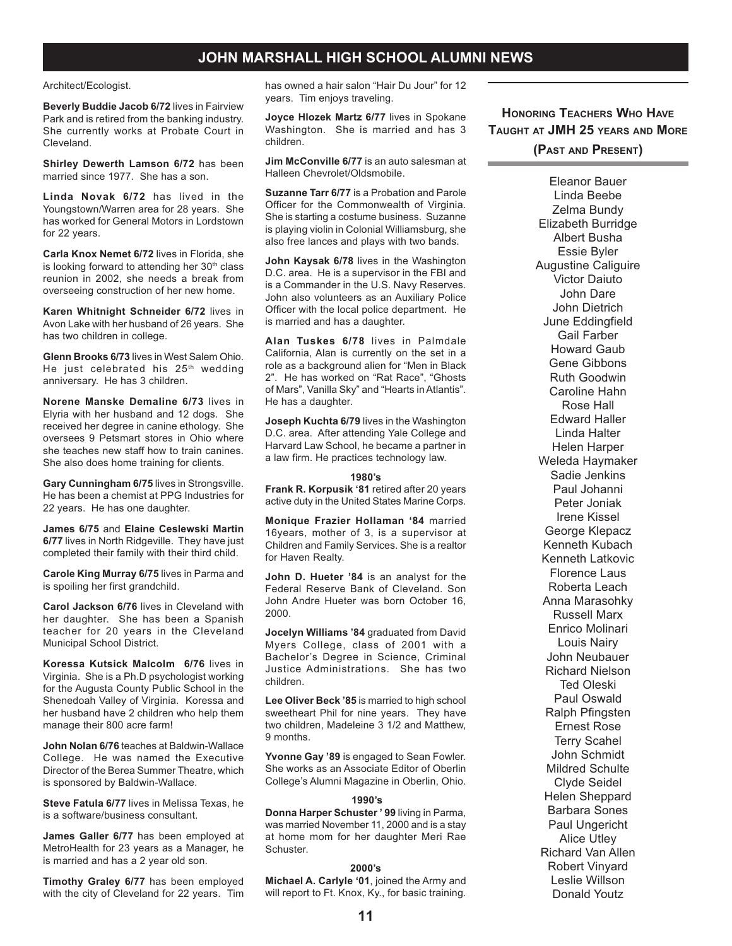#### Architect/Ecologist.

**Beverly Buddie Jacob 6/72** lives in Fairview Park and is retired from the banking industry. She currently works at Probate Court in Cleveland.

**Shirley Dewerth Lamson 6/72** has been married since 1977. She has a son.

**Linda Novak 6/72** has lived in the Youngstown/Warren area for 28 years. She has worked for General Motors in Lordstown for 22 years.

**Carla Knox Nemet 6/72** lives in Florida, she is looking forward to attending her 30<sup>th</sup> class reunion in 2002, she needs a break from overseeing construction of her new home.

**Karen Whitnight Schneider 6/72** lives in Avon Lake with her husband of 26 years. She has two children in college.

**Glenn Brooks 6/73** lives in West Salem Ohio. He just celebrated his  $25<sup>th</sup>$  wedding anniversary. He has 3 children.

**Norene Manske Demaline 6/73** lives in Elyria with her husband and 12 dogs. She received her degree in canine ethology. She oversees 9 Petsmart stores in Ohio where she teaches new staff how to train canines. She also does home training for clients.

**Gary Cunningham 6/75** lives in Strongsville. He has been a chemist at PPG Industries for 22 years. He has one daughter.

**James 6/75** and **Elaine Ceslewski Martin 6/77** lives in North Ridgeville. They have just completed their family with their third child.

**Carole King Murray 6/75** lives in Parma and is spoiling her first grandchild.

**Carol Jackson 6/76** lives in Cleveland with her daughter. She has been a Spanish teacher for 20 years in the Cleveland Municipal School District.

**Koressa Kutsick Malcolm 6/76** lives in Virginia. She is a Ph.D psychologist working for the Augusta County Public School in the Shenedoah Valley of Virginia. Koressa and her husband have 2 children who help them manage their 800 acre farm!

**John Nolan 6/76** teaches at Baldwin-Wallace College. He was named the Executive Director of the Berea Summer Theatre, which is sponsored by Baldwin-Wallace.

**Steve Fatula 6/77** lives in Melissa Texas, he is a software/business consultant.

**James Galler 6/77** has been employed at MetroHealth for 23 years as a Manager, he is married and has a 2 year old son.

**Timothy Graley 6/77** has been employed with the city of Cleveland for 22 years. Tim has owned a hair salon "Hair Du Jour" for 12 years. Tim enjoys traveling.

**Joyce Hlozek Martz 6/77** lives in Spokane Washington. She is married and has 3 children.

**Jim McConville 6/77** is an auto salesman at Halleen Chevrolet/Oldsmobile.

**Suzanne Tarr 6/77** is a Probation and Parole Officer for the Commonwealth of Virginia. She is starting a costume business. Suzanne is playing violin in Colonial Williamsburg, she also free lances and plays with two bands.

**John Kaysak 6/78** lives in the Washington D.C. area. He is a supervisor in the FBI and is a Commander in the U.S. Navy Reserves. John also volunteers as an Auxiliary Police Officer with the local police department. He is married and has a daughter.

**Alan Tuskes 6/78** lives in Palmdale California, Alan is currently on the set in a role as a background alien for "Men in Black 2". He has worked on "Rat Race", "Ghosts of Mars", Vanilla Sky" and "Hearts in Atlantis". He has a daughter.

**Joseph Kuchta 6/79** lives in the Washington D.C. area. After attending Yale College and Harvard Law School, he became a partner in a law firm. He practices technology law.

#### **1980's**

**Frank R. Korpusik '81** retired after 20 years active duty in the United States Marine Corps.

**Monique Frazier Hollaman '84** married 16years, mother of 3, is a supervisor at Children and Family Services. She is a realtor for Haven Realty.

**John D. Hueter '84** is an analyst for the Federal Reserve Bank of Cleveland. Son John Andre Hueter was born October 16, 2000.

**Jocelyn Williams '84** graduated from David Myers College, class of 2001 with a Bachelor's Degree in Science, Criminal Justice Administrations. She has two children.

**Lee Oliver Beck '85** is married to high school sweetheart Phil for nine years. They have two children, Madeleine 3 1/2 and Matthew, 9 months.

**Yvonne Gay '89** is engaged to Sean Fowler. She works as an Associate Editor of Oberlin College's Alumni Magazine in Oberlin, Ohio.

#### **1990's**

**Donna Harper Schuster ' 99** living in Parma, was married November 11, 2000 and is a stay at home mom for her daughter Meri Rae Schuster.

#### **2000's**

**Michael A. Carlyle '01**, joined the Army and will report to Ft. Knox, Ky., for basic training.

**HONORING TEACHERS WHO HAVE TAUGHT AT JMH 25 YEARS AND MORE (PAST AND PRESENT)**

> Eleanor Bauer Linda Beebe Zelma Bundy Elizabeth Burridge Albert Busha Essie Byler Augustine Caliguire Victor Daiuto John Dare John Dietrich June Eddingfield Gail Farber Howard Gaub Gene Gibbons Ruth Goodwin Caroline Hahn Rose Hall Edward Haller Linda Halter Helen Harper Weleda Haymaker Sadie Jenkins Paul Johanni Peter Joniak Irene Kissel George Klepacz Kenneth Kubach Kenneth Latkovic Florence Laus Roberta Leach Anna Marasohky Russell Marx Enrico Molinari Louis Nairy John Neubauer Richard Nielson Ted Oleski Paul Oswald Ralph Pfingsten Ernest Rose Terry Scahel John Schmidt Mildred Schulte Clyde Seidel Helen Sheppard Barbara Sones Paul Ungericht Alice Utley Richard Van Allen Robert Vinyard Leslie Willson Donald Youtz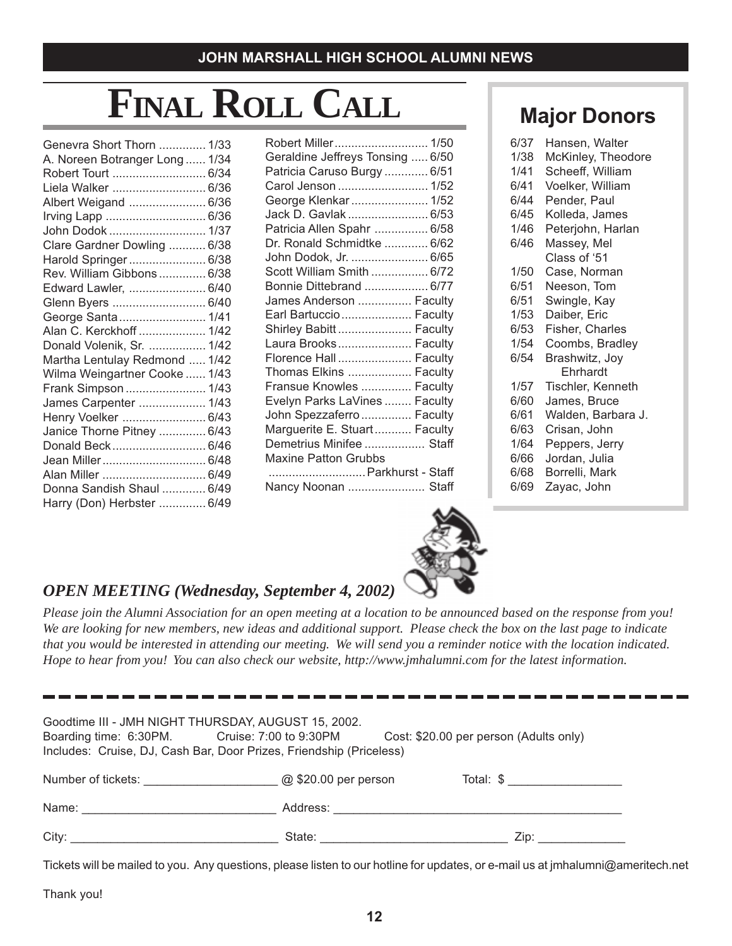# **FINAL ROLL CALL**

| Genevra Short Thorn  1/33      |  |
|--------------------------------|--|
| A. Noreen Botranger Long  1/34 |  |
| Robert Tourt  6/34             |  |
| Liela Walker  6/36             |  |
| Albert Weigand  6/36           |  |
|                                |  |
| John Dodok  1/37               |  |
| Clare Gardner Dowling  6/38    |  |
| Harold Springer 6/38           |  |
| Rev. William Gibbons 6/38      |  |
| Edward Lawler,  6/40           |  |
| Glenn Byers  6/40              |  |
| George Santa 1/41              |  |
| Alan C. Kerckhoff  1/42        |  |
| Donald Volenik, Sr.  1/42      |  |
| Martha Lentulay Redmond  1/42  |  |
| Wilma Weingartner Cooke  1/43  |  |
| Frank Simpson  1/43            |  |
| James Carpenter  1/43          |  |
| Henry Voelker  6/43            |  |
| Janice Thorne Pitney  6/43     |  |
| Donald Beck 6/46               |  |
| Jean Miller 6/48               |  |
| Alan Miller  6/49              |  |
| Donna Sandish Shaul  6/49      |  |
| Harry (Don) Herbster  6/49     |  |

| Robert Miller 1/50               |
|----------------------------------|
| Geraldine Jeffreys Tonsing  6/50 |
| Patricia Caruso Burgy  6/51      |
| Carol Jenson  1/52               |
| George Klenkar  1/52             |
| Jack D. Gavlak  6/53             |
| Patricia Allen Spahr  6/58       |
| Dr. Ronald Schmidtke  6/62       |
| John Dodok, Jr.  6/65            |
| Scott William Smith  6/72        |
| Bonnie Dittebrand  6/77          |
| James Anderson  Faculty          |
| Earl Bartuccio Faculty           |
| Shirley Babitt  Faculty          |
| Laura Brooks Faculty             |
| Florence Hall  Faculty           |
| Thomas Elkins  Faculty           |
| Fransue Knowles  Faculty         |
| Evelyn Parks LaVines  Faculty    |
| John Spezzaferro  Faculty        |
| Marguerite E. Stuart Faculty     |
| Demetrius Minifee  Staff         |
| <b>Maxine Patton Grubbs</b>      |
| Parkhurst - Staff                |
| Nancy Noonan  Staff              |

# **Major Donors**

| 6/37 | Hansen, Walter     |
|------|--------------------|
| 1/38 | McKinley, Theodore |
| 1/41 | Scheeff, William   |
| 6/41 | Voelker, William   |
| 6/44 | Pender, Paul       |
| 6/45 | Kolleda, James     |
| 1/46 | Peterjohn, Harlan  |
| 6/46 | Massey, Mel        |
|      | Class of '51       |
| 1/50 | Case, Norman       |
| 6/51 | Neeson, Tom        |
| 6/51 | Swingle, Kay       |
| 1/53 | Daiber, Eric       |
| 6/53 | Fisher, Charles    |
| 1/54 | Coombs, Bradley    |
| 6/54 | Brashwitz, Joy     |
|      | Ehrhardt           |
| 1/57 | Tischler, Kenneth  |
| 6/60 | James, Bruce       |
| 6/61 | Walden, Barbara J. |
| 6/63 | Crisan, John       |
| 1/64 | Peppers, Jerry     |
| 6/66 | Jordan, Julia      |
| 6/68 | Borrelli, Mark     |
| 6/69 | Zayac, John        |



## *OPEN MEETING (Wednesday, September 4, 2002)*

*Please join the Alumni Association for an open meeting at a location to be announced based on the response from you! We are looking for new members, new ideas and additional support. Please check the box on the last page to indicate that you would be interested in attending our meeting. We will send you a reminder notice with the location indicated. Hope to hear from you! You can also check our website, http://www.jmhalumni.com for the latest information.*

| Goodtime III - JMH NIGHT THURSDAY, AUGUST 15, 2002.<br>Cost: \$20.00 per person (Adults only)<br>Boarding time: 6:30PM. Cruise: 7:00 to 9:30PM<br>Includes: Cruise, DJ, Cash Bar, Door Prizes, Friendship (Priceless) |                      |           |  |  |
|-----------------------------------------------------------------------------------------------------------------------------------------------------------------------------------------------------------------------|----------------------|-----------|--|--|
| Number of tickets: Number of tickets:                                                                                                                                                                                 | @ \$20.00 per person | Total: \$ |  |  |
| Name: ________________________                                                                                                                                                                                        | Address:             |           |  |  |
| City:                                                                                                                                                                                                                 | State:               | Zip:      |  |  |

Tickets will be mailed to you. Any questions, please listen to our hotline for updates, or e-mail us at jmhalumni@ameritech.net

Thank you!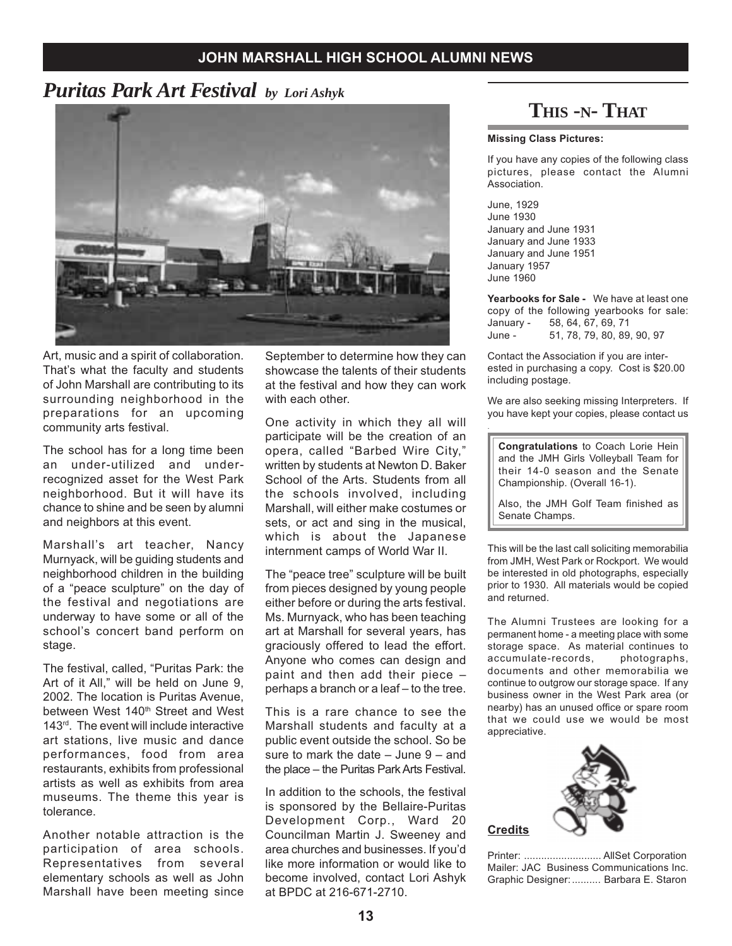# *Puritas Park Art Festival by Lori Ashyk*



Art, music and a spirit of collaboration. That's what the faculty and students of John Marshall are contributing to its surrounding neighborhood in the preparations for an upcoming community arts festival.

The school has for a long time been an under-utilized and underrecognized asset for the West Park neighborhood. But it will have its chance to shine and be seen by alumni and neighbors at this event.

Marshall's art teacher, Nancy Murnyack, will be guiding students and neighborhood children in the building of a "peace sculpture" on the day of the festival and negotiations are underway to have some or all of the school's concert band perform on stage.

The festival, called, "Puritas Park: the Art of it All," will be held on June 9, 2002. The location is Puritas Avenue, between West 140<sup>th</sup> Street and West 143rd. The event will include interactive art stations, live music and dance performances, food from area restaurants, exhibits from professional artists as well as exhibits from area museums. The theme this year is tolerance.

Another notable attraction is the participation of area schools. Representatives from several elementary schools as well as John Marshall have been meeting since

September to determine how they can showcase the talents of their students at the festival and how they can work with each other.

One activity in which they all will participate will be the creation of an opera, called "Barbed Wire City," written by students at Newton D. Baker School of the Arts. Students from all the schools involved, including Marshall, will either make costumes or sets, or act and sing in the musical, which is about the Japanese internment camps of World War II.

The "peace tree" sculpture will be built from pieces designed by young people either before or during the arts festival. Ms. Murnyack, who has been teaching art at Marshall for several years, has graciously offered to lead the effort. Anyone who comes can design and paint and then add their piece – perhaps a branch or a leaf – to the tree.

This is a rare chance to see the Marshall students and faculty at a public event outside the school. So be sure to mark the date – June 9 – and the place – the Puritas Park Arts Festival.

In addition to the schools, the festival is sponsored by the Bellaire-Puritas Development Corp., Ward 20 Councilman Martin J. Sweeney and area churches and businesses. If you'd like more information or would like to become involved, contact Lori Ashyk at BPDC at 216-671-2710.

# **THIS -N- THAT**

#### **Missing Class Pictures:**

If you have any copies of the following class pictures, please contact the Alumni Association.

June, 1929 June 1930 January and June 1931 January and June 1933 January and June 1951 January 1957 June 1960

.

**Yearbooks for Sale -** We have at least one copy of the following yearbooks for sale: January - 58, 64, 67, 69, 71 51, 78, 79, 80, 89, 90, 97

Contact the Association if you are interested in purchasing a copy. Cost is \$20.00 including postage.

We are also seeking missing Interpreters. If you have kept your copies, please contact us

**Congratulations** to Coach Lorie Hein and the JMH Girls Volleyball Team for their 14-0 season and the Senate Championship. (Overall 16-1).

Also, the JMH Golf Team finished as Senate Champs.

This will be the last call soliciting memorabilia from JMH, West Park or Rockport. We would be interested in old photographs, especially prior to 1930. All materials would be copied and returned.

The Alumni Trustees are looking for a permanent home - a meeting place with some storage space. As material continues to accumulate-records, photographs, documents and other memorabilia we continue to outgrow our storage space. If any business owner in the West Park area (or nearby) has an unused office or spare room that we could use we would be most appreciative.



Printer: ........................... AllSet Corporation Mailer: JAC Business Communications Inc. Graphic Designer:.......... Barbara E. Staron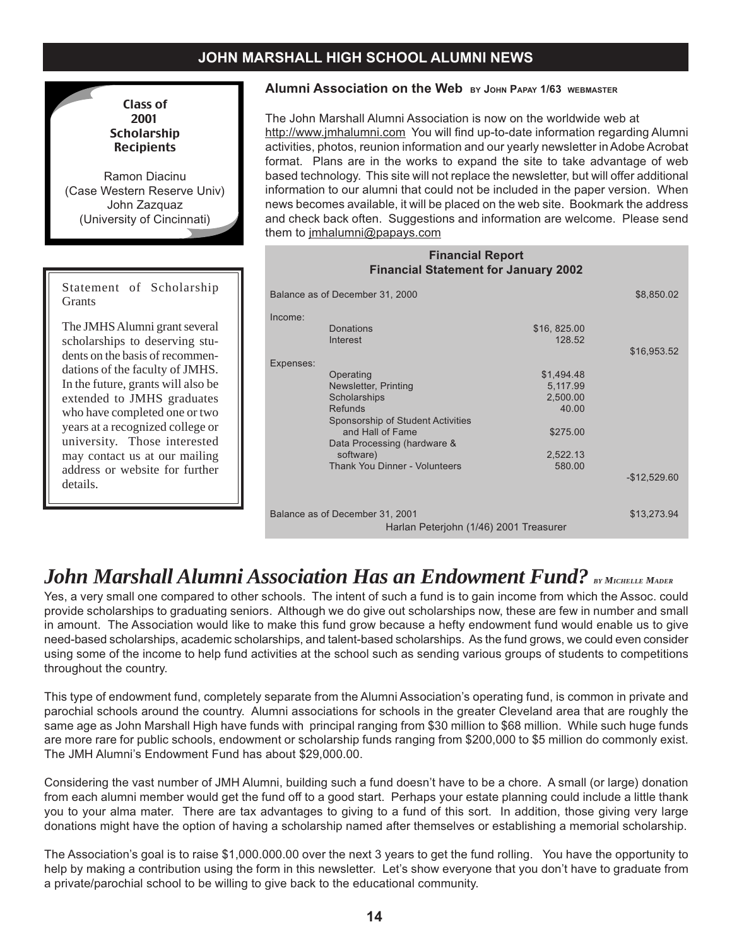

Ramon Diacinu (Case Western Reserve Univ) John Zazquaz (University of Cincinnati)

Statement of Scholarship **Grants** 

The JMHS Alumni grant several scholarships to deserving students on the basis of recommendations of the faculty of JMHS. In the future, grants will also be extended to JMHS graduates who have completed one or two years at a recognized college or university. Those interested may contact us at our mailing address or website for further details.

### **Alumni Association on the Web BY JOHN PAPAY 1/63 WEBMASTER**

The John Marshall Alumni Association is now on the worldwide web at http://www.jmhalumni.com You will find up-to-date information regarding Alumni activities, photos, reunion information and our yearly newsletter in Adobe Acrobat format. Plans are in the works to expand the site to take advantage of web based technology. This site will not replace the newsletter, but will offer additional information to our alumni that could not be included in the paper version. When news becomes available, it will be placed on the web site. Bookmark the address and check back often. Suggestions and information are welcome. Please send them to jmhalumni@papays.com

| <b>Financial Report</b><br><b>Financial Statement for January 2002</b>                                                                                                                                                                                                                                  |               |
|---------------------------------------------------------------------------------------------------------------------------------------------------------------------------------------------------------------------------------------------------------------------------------------------------------|---------------|
| Balance as of December 31, 2000                                                                                                                                                                                                                                                                         | \$8,850.02    |
| Income:<br>Donations<br>\$16, 825.00<br>Interest<br>128.52                                                                                                                                                                                                                                              | \$16,953.52   |
| Expenses:<br>\$1,494.48<br>Operating<br>Newsletter, Printing<br>5,117.99<br>Scholarships<br>2,500.00<br><b>Refunds</b><br>40.00<br>Sponsorship of Student Activities<br>and Hall of Fame<br>\$275.00<br>Data Processing (hardware &<br>software)<br>2,522.13<br>Thank You Dinner - Volunteers<br>580.00 | $-$12,529.60$ |
| Balance as of December 31, 2001<br>Harlan Peterjohn (1/46) 2001 Treasurer                                                                                                                                                                                                                               | \$13,273.94   |

# *John Marshall Alumni Association Has an Endowment Fund?* BY MICHELLE MADER

Yes, a very small one compared to other schools. The intent of such a fund is to gain income from which the Assoc. could provide scholarships to graduating seniors. Although we do give out scholarships now, these are few in number and small in amount. The Association would like to make this fund grow because a hefty endowment fund would enable us to give need-based scholarships, academic scholarships, and talent-based scholarships. As the fund grows, we could even consider using some of the income to help fund activities at the school such as sending various groups of students to competitions throughout the country.

This type of endowment fund, completely separate from the Alumni Association's operating fund, is common in private and parochial schools around the country. Alumni associations for schools in the greater Cleveland area that are roughly the same age as John Marshall High have funds with principal ranging from \$30 million to \$68 million. While such huge funds are more rare for public schools, endowment or scholarship funds ranging from \$200,000 to \$5 million do commonly exist. The JMH Alumni's Endowment Fund has about \$29,000.00.

Considering the vast number of JMH Alumni, building such a fund doesn't have to be a chore. A small (or large) donation from each alumni member would get the fund off to a good start. Perhaps your estate planning could include a little thank you to your alma mater. There are tax advantages to giving to a fund of this sort. In addition, those giving very large donations might have the option of having a scholarship named after themselves or establishing a memorial scholarship.

The Association's goal is to raise \$1,000.000.00 over the next 3 years to get the fund rolling. You have the opportunity to help by making a contribution using the form in this newsletter. Let's show everyone that you don't have to graduate from a private/parochial school to be willing to give back to the educational community.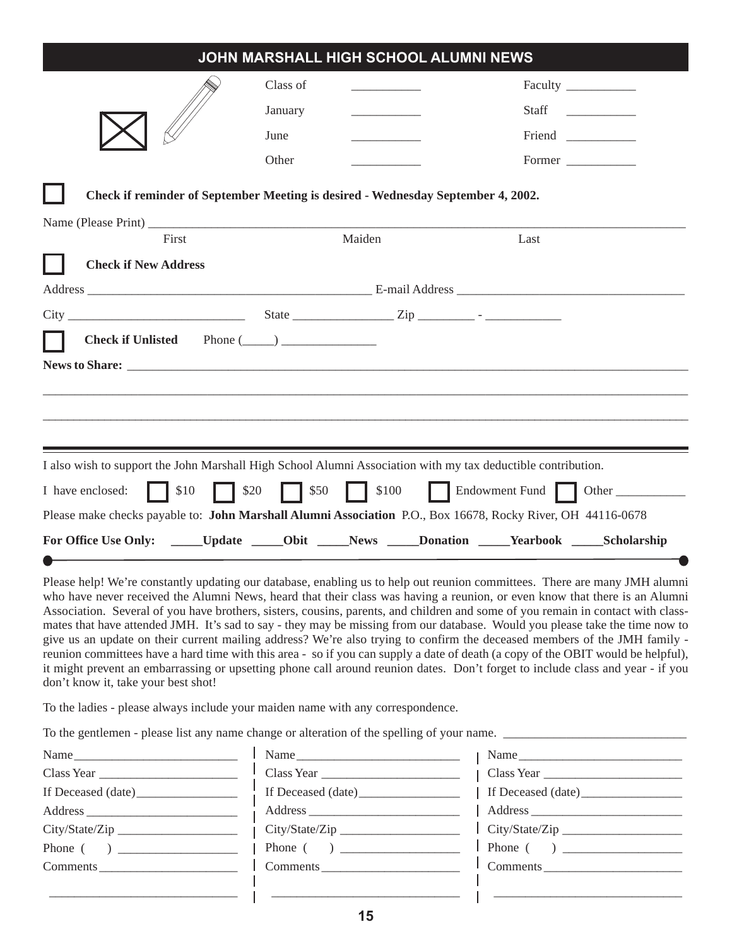|                                                                                                                                                                                                                                                                                                                                                                                                                                                                                                                                                                                                                                                                                                                                                                                               | JOHN MARSHALL HIGH SCHOOL ALUMNI NEWS |                                                                  |                |       |
|-----------------------------------------------------------------------------------------------------------------------------------------------------------------------------------------------------------------------------------------------------------------------------------------------------------------------------------------------------------------------------------------------------------------------------------------------------------------------------------------------------------------------------------------------------------------------------------------------------------------------------------------------------------------------------------------------------------------------------------------------------------------------------------------------|---------------------------------------|------------------------------------------------------------------|----------------|-------|
|                                                                                                                                                                                                                                                                                                                                                                                                                                                                                                                                                                                                                                                                                                                                                                                               | Class of                              |                                                                  | Faculty        |       |
|                                                                                                                                                                                                                                                                                                                                                                                                                                                                                                                                                                                                                                                                                                                                                                                               | January                               |                                                                  | <b>Staff</b>   |       |
|                                                                                                                                                                                                                                                                                                                                                                                                                                                                                                                                                                                                                                                                                                                                                                                               | June                                  |                                                                  | Friend         |       |
|                                                                                                                                                                                                                                                                                                                                                                                                                                                                                                                                                                                                                                                                                                                                                                                               | Other                                 |                                                                  | Former         |       |
| Check if reminder of September Meeting is desired - Wednesday September 4, 2002.                                                                                                                                                                                                                                                                                                                                                                                                                                                                                                                                                                                                                                                                                                              |                                       |                                                                  |                |       |
| First                                                                                                                                                                                                                                                                                                                                                                                                                                                                                                                                                                                                                                                                                                                                                                                         |                                       | Maiden                                                           | Last           |       |
| <b>Check if New Address</b>                                                                                                                                                                                                                                                                                                                                                                                                                                                                                                                                                                                                                                                                                                                                                                   |                                       |                                                                  |                |       |
| Address E-mail Address E-mail Address E-mail Address E-mail Address E-mail Address E-mail Address Andres E-mail Address Andres Andres Andres Andres Andres Andres Andres Andres Andres Andres Andres Andres Andres Andres Andr                                                                                                                                                                                                                                                                                                                                                                                                                                                                                                                                                                |                                       |                                                                  |                |       |
|                                                                                                                                                                                                                                                                                                                                                                                                                                                                                                                                                                                                                                                                                                                                                                                               |                                       |                                                                  |                |       |
| Check if Unlisted Phone $(\_\_)$                                                                                                                                                                                                                                                                                                                                                                                                                                                                                                                                                                                                                                                                                                                                                              |                                       |                                                                  |                |       |
|                                                                                                                                                                                                                                                                                                                                                                                                                                                                                                                                                                                                                                                                                                                                                                                               |                                       |                                                                  |                |       |
|                                                                                                                                                                                                                                                                                                                                                                                                                                                                                                                                                                                                                                                                                                                                                                                               |                                       |                                                                  |                |       |
|                                                                                                                                                                                                                                                                                                                                                                                                                                                                                                                                                                                                                                                                                                                                                                                               |                                       |                                                                  |                |       |
|                                                                                                                                                                                                                                                                                                                                                                                                                                                                                                                                                                                                                                                                                                                                                                                               |                                       |                                                                  |                |       |
| I also wish to support the John Marshall High School Alumni Association with my tax deductible contribution.                                                                                                                                                                                                                                                                                                                                                                                                                                                                                                                                                                                                                                                                                  |                                       |                                                                  |                |       |
| \$10<br>$\vert$ \$20<br>I have enclosed:                                                                                                                                                                                                                                                                                                                                                                                                                                                                                                                                                                                                                                                                                                                                                      | $\vert$   \$50                        | $\begin{array}{c c} \hline \text{ } & \text{ } $100 \end{array}$ | Endowment Fund | Other |
| Please make checks payable to: John Marshall Alumni Association P.O., Box 16678, Rocky River, OH 44116-0678                                                                                                                                                                                                                                                                                                                                                                                                                                                                                                                                                                                                                                                                                   |                                       |                                                                  |                |       |
| For Office Use Only: ______Update ______Obit _____News _____Donation _____Yearbook _____Scholarship                                                                                                                                                                                                                                                                                                                                                                                                                                                                                                                                                                                                                                                                                           |                                       |                                                                  |                |       |
|                                                                                                                                                                                                                                                                                                                                                                                                                                                                                                                                                                                                                                                                                                                                                                                               |                                       |                                                                  |                |       |
| Please help! We're constantly updating our database, enabling us to help out reunion committees. There are many JMH alumni<br>who have never received the Alumni News, heard that their class was having a reunion, or even know that there is an Alumni<br>Association. Several of you have brothers, sisters, cousins, parents, and children and some of you remain in contact with class-<br>mates that have attended JMH. It's sad to say - they may be missing from our database. Would you please take the time now to<br>give us an update on their current mailing address? We're also trying to confirm the deceased members of the JMH family -<br>reunion committees have a hard time with this area - so if you can supply a date of death (a copy of the OBIT would be helpful), |                                       |                                                                  |                |       |

it might prevent an embarrassing or upsetting phone call around reunion dates. Don't forget to include class and year - if you don't know it, take your best shot!

To the ladies - please always include your maiden name with any correspondence.

To the gentlemen - please list any name change or alteration of the spelling of your name. \_\_\_\_\_\_\_\_\_\_\_\_\_\_\_\_\_\_\_\_\_\_\_\_\_\_\_\_\_

| Name               |
|--------------------|
| Class Year         |
| If Deceased (date) |
|                    |
| City/State/Zip     |
|                    |
| Comments           |
|                    |

\_\_\_\_\_\_\_\_\_\_\_\_\_\_\_\_\_\_\_\_\_\_\_\_\_\_\_\_\_\_

| Name               |
|--------------------|
| Class Year         |
| If Deceased (date) |
|                    |
| City/State/Zip     |
|                    |
| Comments           |
|                    |
|                    |

| Name               |
|--------------------|
| Class Year         |
| If Deceased (date) |
| Address            |
| City/State/Zip     |
|                    |
| Comments           |
|                    |
|                    |